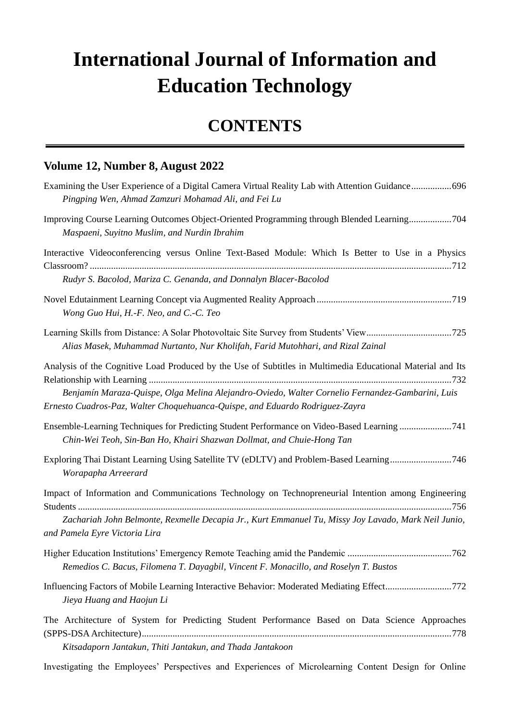## **International Journal of Information and Education Technology**

## **CONTENTS**

## **Volume 12, Number 8, August 2022**

| Examining the User Experience of a Digital Camera Virtual Reality Lab with Attention Guidance696<br>Pingping Wen, Ahmad Zamzuri Mohamad Ali, and Fei Lu                                                                                     |
|---------------------------------------------------------------------------------------------------------------------------------------------------------------------------------------------------------------------------------------------|
| Improving Course Learning Outcomes Object-Oriented Programming through Blended Learning704<br>Maspaeni, Suyitno Muslim, and Nurdin Ibrahim                                                                                                  |
| Interactive Videoconferencing versus Online Text-Based Module: Which Is Better to Use in a Physics<br>Rudyr S. Bacolod, Mariza C. Genanda, and Donnalyn Blacer-Bacolod                                                                      |
| Wong Guo Hui, H.-F. Neo, and C.-C. Teo                                                                                                                                                                                                      |
| Alias Masek, Muhammad Nurtanto, Nur Kholifah, Farid Mutohhari, and Rizal Zainal                                                                                                                                                             |
| Analysis of the Cognitive Load Produced by the Use of Subtitles in Multimedia Educational Material and Its                                                                                                                                  |
| Benjam ín Maraza-Quispe, Olga Melina Alejandro-Oviedo, Walter Cornelio Fernandez-Gambarini, Luis<br>Ernesto Cuadros-Paz, Walter Choquehuanca-Quispe, and Eduardo Rodriguez-Zayra                                                            |
| Ensemble-Learning Techniques for Predicting Student Performance on Video-Based Learning 741<br>Chin-Wei Teoh, Sin-Ban Ho, Khairi Shazwan Dollmat, and Chuie-Hong Tan                                                                        |
| Exploring Thai Distant Learning Using Satellite TV (eDLTV) and Problem-Based Learning746<br>Worapapha Arreerard                                                                                                                             |
| Impact of Information and Communications Technology on Technopreneurial Intention among Engineering<br>Zachariah John Belmonte, Rexmelle Decapia Jr., Kurt Emmanuel Tu, Missy Joy Lavado, Mark Neil Junio,<br>and Pamela Eyre Victoria Lira |
| Remedios C. Bacus, Filomena T. Dayagbil, Vincent F. Monacillo, and Roselyn T. Bustos                                                                                                                                                        |
| Influencing Factors of Mobile Learning Interactive Behavior: Moderated Mediating Effect772<br>Jieya Huang and Haojun Li                                                                                                                     |
| The Architecture of System for Predicting Student Performance Based on Data Science Approaches<br>Kitsadaporn Jantakun, Thiti Jantakun, and Thada Jantakoon                                                                                 |

Investigating the Employees' Perspectives and Experiences of Microlearning Content Design for Online